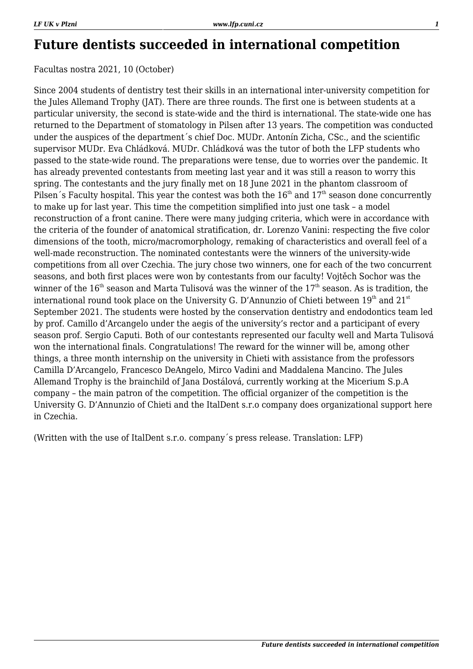## **Future dentists succeeded in international competition**

Facultas nostra 2021, 10 (October)

Since 2004 students of dentistry test their skills in an international inter-university competition for the Jules Allemand Trophy (JAT). There are three rounds. The first one is between students at a particular university, the second is state-wide and the third is international. The state-wide one has returned to the Department of stomatology in Pilsen after 13 years. The competition was conducted under the auspices of the department´s chief Doc. MUDr. Antonín Zicha, CSc., and the scientific supervisor MUDr. Eva Chládková. MUDr. Chládková was the tutor of both the LFP students who passed to the state-wide round. The preparations were tense, due to worries over the pandemic. It has already prevented contestants from meeting last year and it was still a reason to worry this spring. The contestants and the jury finally met on 18 June 2021 in the phantom classroom of Pilsen's Faculty hospital. This year the contest was both the  $16<sup>th</sup>$  and  $17<sup>th</sup>$  season done concurrently to make up for last year. This time the competition simplified into just one task – a model reconstruction of a front canine. There were many judging criteria, which were in accordance with the criteria of the founder of anatomical stratification, dr. Lorenzo Vanini: respecting the five color dimensions of the tooth, micro/macromorphology, remaking of characteristics and overall feel of a well-made reconstruction. The nominated contestants were the winners of the university-wide competitions from all over Czechia. The jury chose two winners, one for each of the two concurrent seasons, and both first places were won by contestants from our faculty! Vojtěch Sochor was the winner of the  $16<sup>th</sup>$  season and Marta Tulisová was the winner of the  $17<sup>th</sup>$  season. As is tradition, the international round took place on the University G. D'Annunzio of Chieti between  $19<sup>th</sup>$  and  $21<sup>st</sup>$ September 2021. The students were hosted by the conservation dentistry and endodontics team led by prof. Camillo d'Arcangelo under the aegis of the university's rector and a participant of every season prof. Sergio Caputi. Both of our contestants represented our faculty well and Marta Tulisová won the international finals. Congratulations! The reward for the winner will be, among other things, a three month internship on the university in Chieti with assistance from the professors Camilla D'Arcangelo, Francesco DeAngelo, Mirco Vadini and Maddalena Mancino. The Jules Allemand Trophy is the brainchild of Jana Dostálová, currently working at the Micerium S.p.A company – the main patron of the competition. The official organizer of the competition is the University G. D'Annunzio of Chieti and the ItalDent s.r.o company does organizational support here in Czechia.

(Written with the use of ItalDent s.r.o. company´s press release. Translation: LFP)